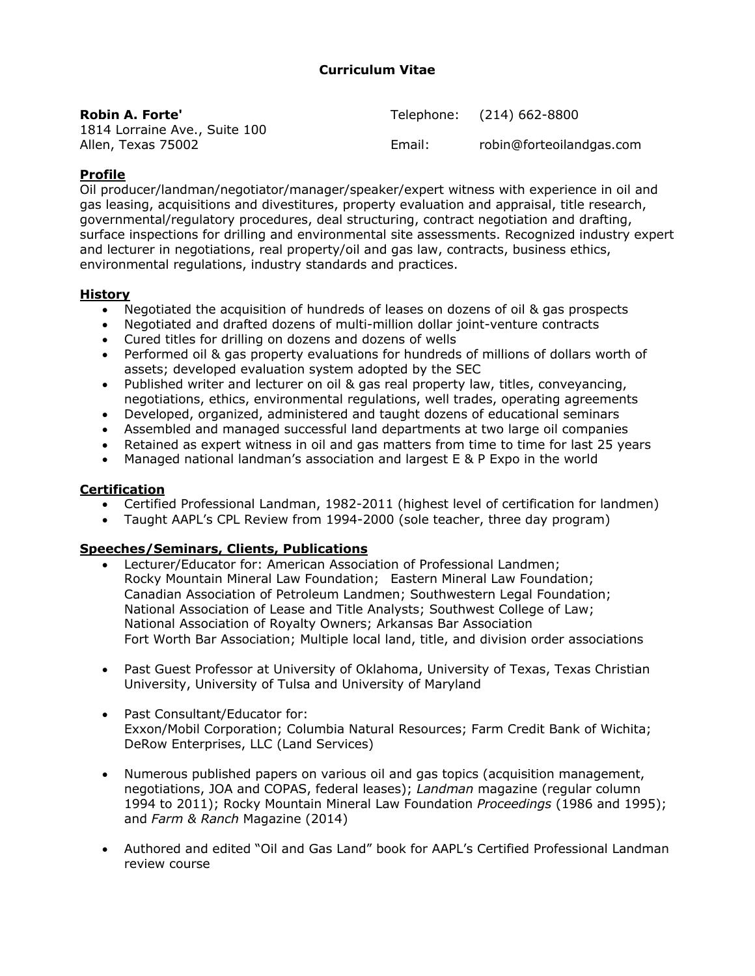## **Curriculum Vitae**

| <b>Robin A. Forte'</b>                              |        | Telephone: (214) 662-8800 |
|-----------------------------------------------------|--------|---------------------------|
| 1814 Lorraine Ave., Suite 100<br>Allen, Texas 75002 | Email: | robin@forteoilandgas.com  |

## **Profile**

Oil producer/landman/negotiator/manager/speaker/expert witness with experience in oil and gas leasing, acquisitions and divestitures, property evaluation and appraisal, title research, governmental/regulatory procedures, deal structuring, contract negotiation and drafting, surface inspections for drilling and environmental site assessments. Recognized industry expert and lecturer in negotiations, real property/oil and gas law, contracts, business ethics, environmental regulations, industry standards and practices.

### **History**

- Negotiated the acquisition of hundreds of leases on dozens of oil & gas prospects
- Negotiated and drafted dozens of multi-million dollar joint-venture contracts
- Cured titles for drilling on dozens and dozens of wells
- Performed oil & gas property evaluations for hundreds of millions of dollars worth of assets; developed evaluation system adopted by the SEC
- Published writer and lecturer on oil & gas real property law, titles, conveyancing, negotiations, ethics, environmental regulations, well trades, operating agreements
- Developed, organized, administered and taught dozens of educational seminars
- Assembled and managed successful land departments at two large oil companies
- Retained as expert witness in oil and gas matters from time to time for last 25 years
- Managed national landman's association and largest E & P Expo in the world

## **Certification**

- Certified Professional Landman, 1982-2011 (highest level of certification for landmen)
- Taught AAPL's CPL Review from 1994-2000 (sole teacher, three day program)

#### **Speeches/Seminars, Clients, Publications**

- Lecturer/Educator for: American Association of Professional Landmen; Rocky Mountain Mineral Law Foundation; Eastern Mineral Law Foundation; Canadian Association of Petroleum Landmen; Southwestern Legal Foundation; National Association of Lease and Title Analysts; Southwest College of Law; National Association of Royalty Owners; Arkansas Bar Association Fort Worth Bar Association; Multiple local land, title, and division order associations
- Past Guest Professor at University of Oklahoma, University of Texas, Texas Christian University, University of Tulsa and University of Maryland
- Past Consultant/Educator for: Exxon/Mobil Corporation; Columbia Natural Resources; Farm Credit Bank of Wichita; DeRow Enterprises, LLC (Land Services)
- Numerous published papers on various oil and gas topics (acquisition management, negotiations, JOA and COPAS, federal leases); *Landman* magazine (regular column 1994 to 2011); Rocky Mountain Mineral Law Foundation *Proceedings* (1986 and 1995); and *Farm & Ranch* Magazine (2014)
- Authored and edited "Oil and Gas Land" book for AAPL's Certified Professional Landman review course